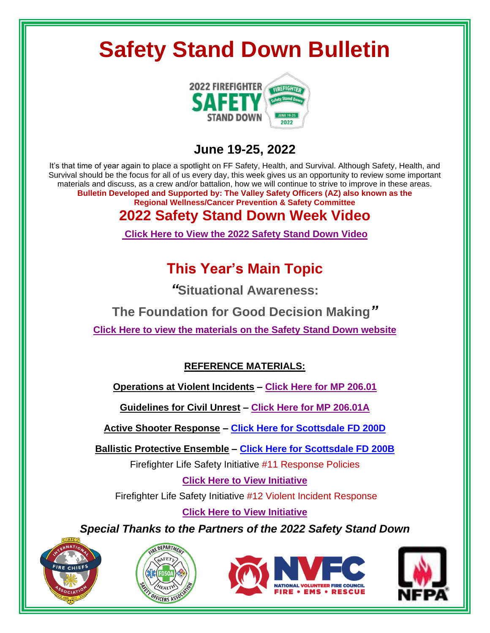# **Safety Stand Down Bulletin**



#### **June 19-25, 2022**

It's that time of year again to place a spotlight on FF Safety, Health, and Survival. Although Safety, Health, and Survival should be the focus for all of us every day, this week gives us an opportunity to review some important materials and discuss, as a crew and/or battalion, how we will continue to strive to improve in these areas. **Bulletin Developed and Supported by: The Valley Safety Officers (AZ) also known as the Regional Wellness/Cancer Prevention & Safety Committee**

### **2022 Safety Stand Down Week Video**

**Click Here to View the 2022 [Safety Stand Down Video](https://www.youtube.com/watch?v=cZpTqBWdaJE)**

### **This Year's Main Topic**

*"***Situational Awareness:** 

**The Foundation for Good Decision Making***"*

**Click Here to view the materials [on the Safety Stand Down website](https://www.safetystanddown.org/)**

#### **REFERENCE MATERIALS:**

**Operations at Violent Incidents – [Click Here for MP](https://www.phoenix.gov/firesite/Documents/20601.pdf) 206.01**

**Guidelines for Civil Unrest – [Click Here for MP 206.01A](https://www.phoenix.gov/firesite/Documents/206.01A%20Guidelines%20for%20Civil%20Unrest.pdf)**

**Active Shooter Response – [Click Here for Scottsdale FD 200D](https://www.scottsdaleaz.gov/Assets/ScottsdaleAZ/Fire/active-shooter-response-guideline.pdf)**

**Ballistic Protective Ensemble – [Click Here for Scottsdale FD 200B](https://www.scottsdaleaz.gov/Assets/ScottsdaleAZ/Fire/BPE-guideline.pdf)**

Firefighter Life Safety Initiative #11 Response Policies

**Click [Here to View Initiative](https://www.everyonegoeshome.com/16-initiatives/11-response-policies/)**

Firefighter Life Safety Initiative #12 Violent Incident Response

**Click [Here to View Initiative](https://www.everyonegoeshome.com/16-initiatives/12-violent-incident-response/)**

*Special Thanks to the Partners of the 2022 Safety Stand Down*